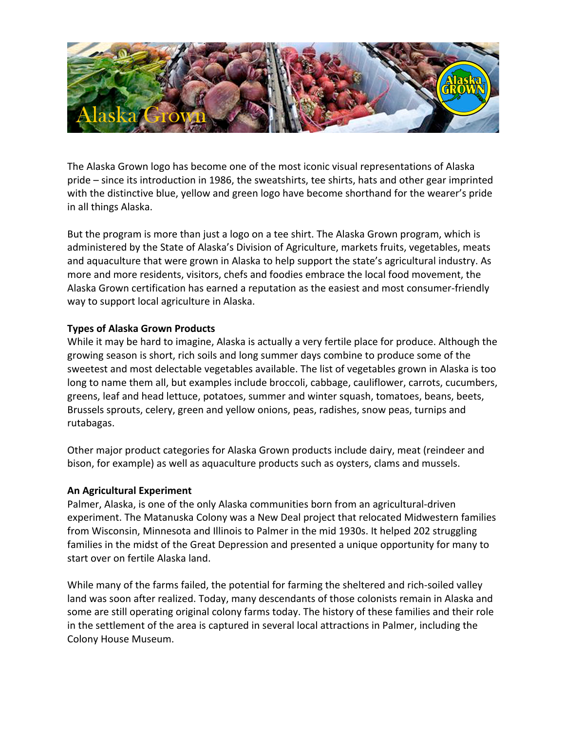

The Alaska Grown logo has become one of the most iconic visual representations of Alaska pride – since its introduction in 1986, the sweatshirts, tee shirts, hats and other gear imprinted with the distinctive blue, yellow and green logo have become shorthand for the wearer's pride in all things Alaska.

But the program is more than just a logo on a tee shirt. The Alaska Grown program, which is administered by the State of Alaska's Division of Agriculture, markets fruits, vegetables, meats and aquaculture that were grown in Alaska to help support the state's agricultural industry. As more and more residents, visitors, chefs and foodies embrace the local food movement, the Alaska Grown certification has earned a reputation as the easiest and most consumer-friendly way to support local agriculture in Alaska.

#### **Types of Alaska Grown Products**

While it may be hard to imagine, Alaska is actually a very fertile place for produce. Although the growing season is short, rich soils and long summer days combine to produce some of the sweetest and most delectable vegetables available. The list of vegetables grown in Alaska is too long to name them all, but examples include broccoli, cabbage, cauliflower, carrots, cucumbers, greens, leaf and head lettuce, potatoes, summer and winter squash, tomatoes, beans, beets, Brussels sprouts, celery, green and yellow onions, peas, radishes, snow peas, turnips and rutabagas. 

Other major product categories for Alaska Grown products include dairy, meat (reindeer and bison, for example) as well as aquaculture products such as oysters, clams and mussels.

### **An Agricultural Experiment**

Palmer, Alaska, is one of the only Alaska communities born from an agricultural-driven experiment. The Matanuska Colony was a New Deal project that relocated Midwestern families from Wisconsin, Minnesota and Illinois to Palmer in the mid 1930s. It helped 202 struggling families in the midst of the Great Depression and presented a unique opportunity for many to start over on fertile Alaska land.

While many of the farms failed, the potential for farming the sheltered and rich-soiled valley land was soon after realized. Today, many descendants of those colonists remain in Alaska and some are still operating original colony farms today. The history of these families and their role in the settlement of the area is captured in several local attractions in Palmer, including the Colony House Museum.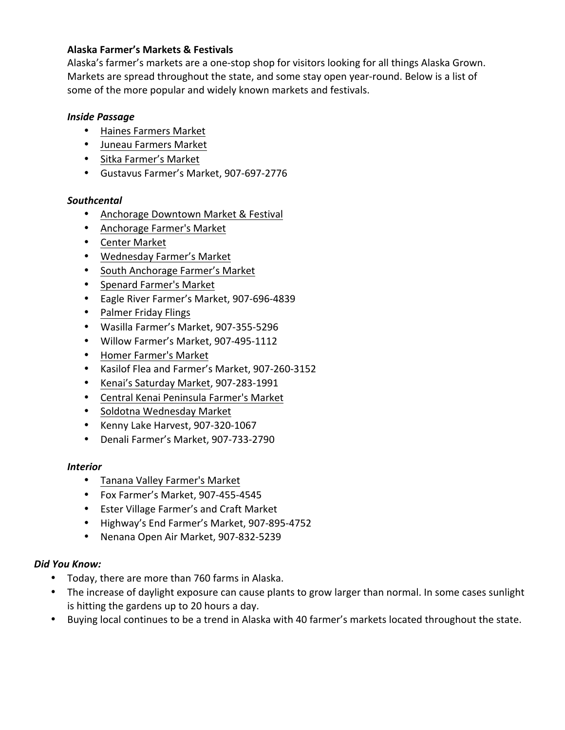### **Alaska Farmer's Markets & Festivals**

Alaska's farmer's markets are a one-stop shop for visitors looking for all things Alaska Grown. Markets are spread throughout the state, and some stay open year-round. Below is a list of some of the more popular and widely known markets and festivals.

## *Inside Passage*

- Haines Farmers Market
- Juneau Farmers Market
- Sitka Farmer's Market
- Gustavus Farmer's Market, 907-697-2776

# *Southcental*

- Anchorage Downtown Market & Festival
- Anchorage Farmer's Market
- Center Market
- Wednesday Farmer's Market
- South Anchorage Farmer's Market
- Spenard Farmer's Market
- Eagle River Farmer's Market, 907-696-4839
- Palmer Friday Flings
- Wasilla Farmer's Market, 907-355-5296
- Willow Farmer's Market, 907-495-1112
- Homer Farmer's Market
- Kasilof Flea and Farmer's Market, 907-260-3152
- Kenai's Saturday Market, 907-283-1991
- Central Kenai Peninsula Farmer's Market
- Soldotna Wednesday Market
- Kenny Lake Harvest, 907-320-1067
- Denali Farmer's Market, 907-733-2790

### *Interior*

- Tanana Valley Farmer's Market
- Fox Farmer's Market, 907-455-4545
- Ester Village Farmer's and Craft Market
- Highway's End Farmer's Market, 907-895-4752
- Nenana Open Air Market, 907-832-5239

### *Did You Know:*

- Today, there are more than 760 farms in Alaska.
- The increase of daylight exposure can cause plants to grow larger than normal. In some cases sunlight is hitting the gardens up to 20 hours a day.
- Buying local continues to be a trend in Alaska with 40 farmer's markets located throughout the state.